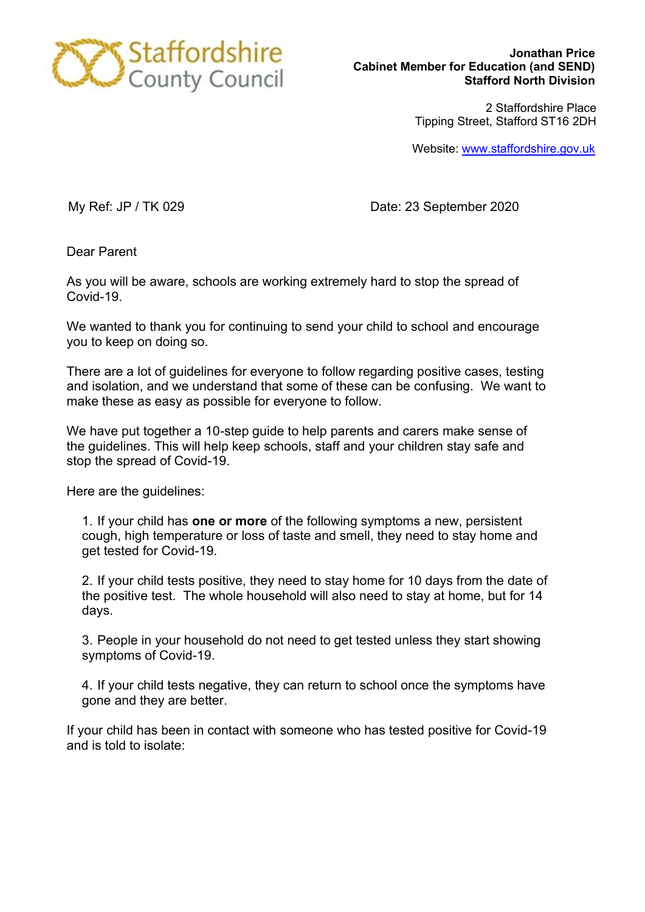

**Jonathan Price Cabinet Member for Education (and SEND) Stafford North Division**

> 2 Staffordshire Place Tipping Street, Stafford ST16 2DH

Website: [www.staffordshire.gov.uk](http://www.staffordshire.gov.uk/)

My Ref: JP / TK 029 Date: 23 September 2020

Dear Parent

As you will be aware, schools are working extremely hard to stop the spread of Covid-19.

We wanted to thank you for continuing to send your child to school and encourage you to keep on doing so.

There are a lot of guidelines for everyone to follow regarding positive cases, testing and isolation, and we understand that some of these can be confusing. We want to make these as easy as possible for everyone to follow.

We have put together a 10-step guide to help parents and carers make sense of the guidelines. This will help keep schools, staff and your children stay safe and stop the spread of Covid-19.

Here are the guidelines:

1. If your child has **one or more** of the following symptoms a new, persistent cough, high temperature or loss of taste and smell, they need to stay home and get tested for Covid-19.

2. If your child tests positive, they need to stay home for 10 days from the date of the positive test. The whole household will also need to stay at home, but for 14 days.

3. People in your household do not need to get tested unless they start showing symptoms of Covid-19.

4. If your child tests negative, they can return to school once the symptoms have gone and they are better.

If your child has been in contact with someone who has tested positive for Covid-19 and is told to isolate: